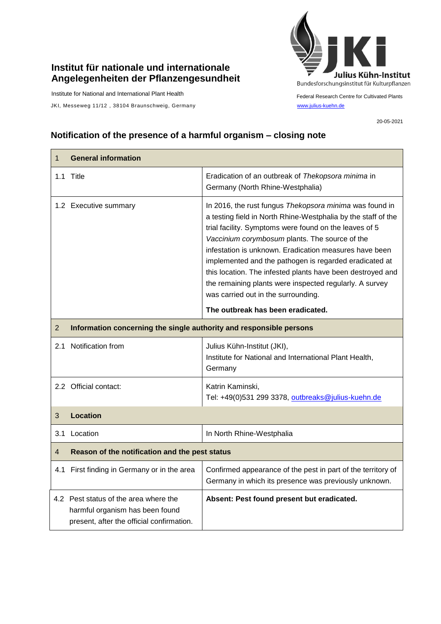## **Institut für nationale und internationale Angelegenheiten der Pflanzengesundheit**

Institute for National and International Plant Health

JKI, Messeweg 11/12, 38104 Braunschweig, Germany [www.julius-kuehn.de](http://www.julius-kuehn.de/)



Federal Research Centre for Cultivated Plants

20-05-2021

## **Notification of the presence of a harmful organism – closing note**

| $\mathbf{1}$   | <b>General information</b>                                                                                            |                                                                                                                                                                                                                                                                                                                                                                                                                                                                                                                                                               |  |
|----------------|-----------------------------------------------------------------------------------------------------------------------|---------------------------------------------------------------------------------------------------------------------------------------------------------------------------------------------------------------------------------------------------------------------------------------------------------------------------------------------------------------------------------------------------------------------------------------------------------------------------------------------------------------------------------------------------------------|--|
|                | 1.1 Title                                                                                                             | Eradication of an outbreak of Thekopsora minima in<br>Germany (North Rhine-Westphalia)                                                                                                                                                                                                                                                                                                                                                                                                                                                                        |  |
|                | 1.2 Executive summary                                                                                                 | In 2016, the rust fungus Thekopsora minima was found in<br>a testing field in North Rhine-Westphalia by the staff of the<br>trial facility. Symptoms were found on the leaves of 5<br>Vaccinium corymbosum plants. The source of the<br>infestation is unknown. Eradication measures have been<br>implemented and the pathogen is regarded eradicated at<br>this location. The infested plants have been destroyed and<br>the remaining plants were inspected regularly. A survey<br>was carried out in the surrounding.<br>The outbreak has been eradicated. |  |
| $\overline{2}$ | Information concerning the single authority and responsible persons                                                   |                                                                                                                                                                                                                                                                                                                                                                                                                                                                                                                                                               |  |
|                | 2.1 Notification from                                                                                                 | Julius Kühn-Institut (JKI),<br>Institute for National and International Plant Health,<br>Germany                                                                                                                                                                                                                                                                                                                                                                                                                                                              |  |
|                | 2.2 Official contact:                                                                                                 | Katrin Kaminski,<br>Tel: +49(0)531 299 3378, outbreaks@julius-kuehn.de                                                                                                                                                                                                                                                                                                                                                                                                                                                                                        |  |
| 3              | Location                                                                                                              |                                                                                                                                                                                                                                                                                                                                                                                                                                                                                                                                                               |  |
|                | 3.1 Location                                                                                                          | In North Rhine-Westphalia                                                                                                                                                                                                                                                                                                                                                                                                                                                                                                                                     |  |
| 4              | Reason of the notification and the pest status                                                                        |                                                                                                                                                                                                                                                                                                                                                                                                                                                                                                                                                               |  |
|                | 4.1 First finding in Germany or in the area                                                                           | Confirmed appearance of the pest in part of the territory of<br>Germany in which its presence was previously unknown.                                                                                                                                                                                                                                                                                                                                                                                                                                         |  |
|                | 4.2 Pest status of the area where the<br>harmful organism has been found<br>present, after the official confirmation. | Absent: Pest found present but eradicated.                                                                                                                                                                                                                                                                                                                                                                                                                                                                                                                    |  |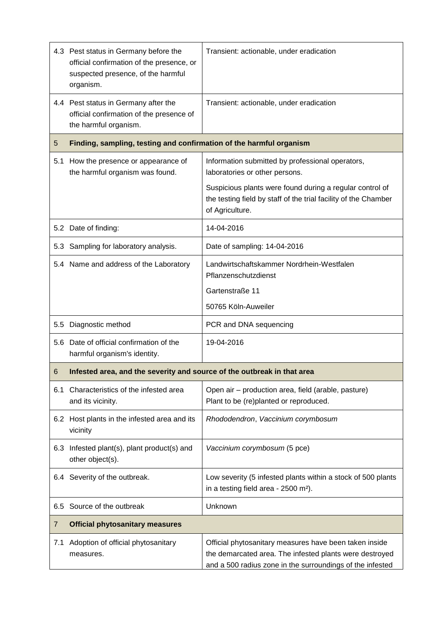|     | 4.3 Pest status in Germany before the<br>official confirmation of the presence, or<br>suspected presence, of the harmful<br>organism. | Transient: actionable, under eradication                                                                                                                                       |
|-----|---------------------------------------------------------------------------------------------------------------------------------------|--------------------------------------------------------------------------------------------------------------------------------------------------------------------------------|
|     | 4.4 Pest status in Germany after the<br>official confirmation of the presence of<br>the harmful organism.                             | Transient: actionable, under eradication                                                                                                                                       |
| 5   | Finding, sampling, testing and confirmation of the harmful organism                                                                   |                                                                                                                                                                                |
| 5.1 | How the presence or appearance of<br>the harmful organism was found.                                                                  | Information submitted by professional operators,<br>laboratories or other persons.                                                                                             |
|     |                                                                                                                                       | Suspicious plants were found during a regular control of<br>the testing field by staff of the trial facility of the Chamber<br>of Agriculture.                                 |
|     | 5.2 Date of finding:                                                                                                                  | 14-04-2016                                                                                                                                                                     |
|     | 5.3 Sampling for laboratory analysis.                                                                                                 | Date of sampling: 14-04-2016                                                                                                                                                   |
|     | 5.4 Name and address of the Laboratory                                                                                                | Landwirtschaftskammer Nordrhein-Westfalen<br>Pflanzenschutzdienst                                                                                                              |
|     |                                                                                                                                       | Gartenstraße 11                                                                                                                                                                |
|     |                                                                                                                                       | 50765 Köln-Auweiler                                                                                                                                                            |
| 5.5 | Diagnostic method                                                                                                                     | PCR and DNA sequencing                                                                                                                                                         |
|     | 5.6 Date of official confirmation of the<br>harmful organism's identity.                                                              | 19-04-2016                                                                                                                                                                     |
| 6   | Infested area, and the severity and source of the outbreak in that area                                                               |                                                                                                                                                                                |
| 6.1 | Characteristics of the infested area<br>and its vicinity.                                                                             | Open air - production area, field (arable, pasture)<br>Plant to be (re)planted or reproduced.                                                                                  |
|     | 6.2 Host plants in the infested area and its<br>vicinity                                                                              | Rhododendron, Vaccinium corymbosum                                                                                                                                             |
|     | 6.3 Infested plant(s), plant product(s) and<br>other object(s).                                                                       | Vaccinium corymbosum (5 pce)                                                                                                                                                   |
|     | 6.4 Severity of the outbreak.                                                                                                         | Low severity (5 infested plants within a stock of 500 plants<br>in a testing field area - 2500 m <sup>2</sup> ).                                                               |
| 6.5 | Source of the outbreak                                                                                                                | Unknown                                                                                                                                                                        |
| 7   | <b>Official phytosanitary measures</b>                                                                                                |                                                                                                                                                                                |
| 7.1 | Adoption of official phytosanitary<br>measures.                                                                                       | Official phytosanitary measures have been taken inside<br>the demarcated area. The infested plants were destroyed<br>and a 500 radius zone in the surroundings of the infested |